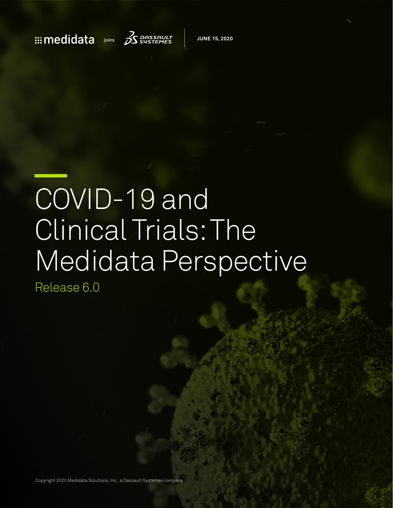## $\therefore$  medidata joins  $\beta$ sustemes



**MAY 18, 2020 JUNE 15, 2020**

# COVID-19 and Clinical Trials: The Medidata Perspective

Release 6.0

Copyright 2020 Medidata Solutions, Inc., a Dassault Systèmes company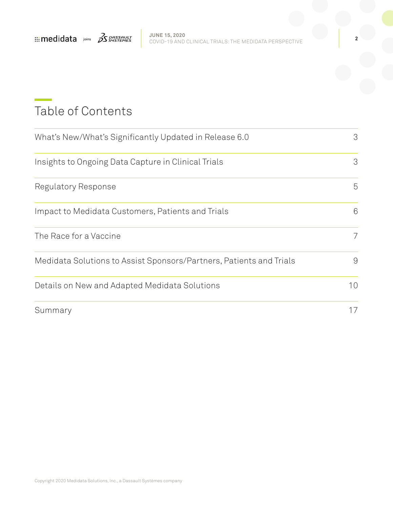

## Table of Contents

| What's New/What's Significantly Updated in Release 6.0              |    |
|---------------------------------------------------------------------|----|
| Insights to Ongoing Data Capture in Clinical Trials                 | 3  |
| Regulatory Response                                                 | 5  |
| Impact to Medidata Customers, Patients and Trials                   | 6  |
| The Race for a Vaccine                                              | 7  |
| Medidata Solutions to Assist Sponsors/Partners, Patients and Trials | 9  |
| Details on New and Adapted Medidata Solutions                       | 10 |
| Summary                                                             | 17 |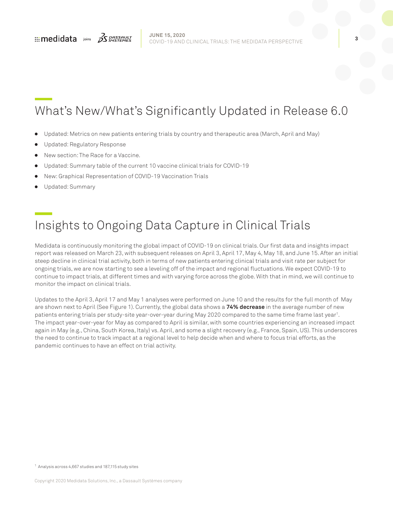

## <span id="page-2-0"></span>What's New/What's Significantly Updated in Release 6.0

- Updated: Metrics on new patients entering trials by country and therapeutic area (March, April and May)
- Updated: Regulatory Response
- New section: The Race for a Vaccine.
- Updated: Summary table of the current 10 vaccine clinical trials for COVID-19
- <sup>ā</sup> New: Graphical Representation of COVID-19 Vaccination Trials
- Updated: Summary

## Insights to Ongoing Data Capture in Clinical Trials

Medidata is continuously monitoring the global impact of COVID-19 on clinical trials. Our first data and insights impact report was released on March 23, with subsequent releases on April 3, April 17, May 4, May 18, and June 15. After an initial steep decline in clinical trial activity, both in terms of new patients entering clinical trials and visit rate per subject for ongoing trials, we are now starting to see a leveling off of the impact and regional fluctuations. We expect COVID-19 to continue to impact trials, at different times and with varying force across the globe. With that in mind, we will continue to monitor the impact on clinical trials.

Updates to the April 3, April 17 and May 1 analyses were performed on June 10 and the results for the full month of May are shown next to April (See Figure 1). Currently, the global data shows a **74% decrease** in the average number of new patients entering trials per study-site year-over-year during May 2020 compared to the same time frame last year<sup>1</sup>. The impact year-over-year for May as compared to April is similar, with some countries experiencing an increased impact again in May (e.g., China, South Korea, Italy) vs. April, and some a slight recovery (e.g., France, Spain, US). This underscores the need to continue to track impact at a regional level to help decide when and where to focus trial efforts, as the pandemic continues to have an effect on trial activity.

<sup>1</sup> Analysis across 4,667 studies and 187,115 study sites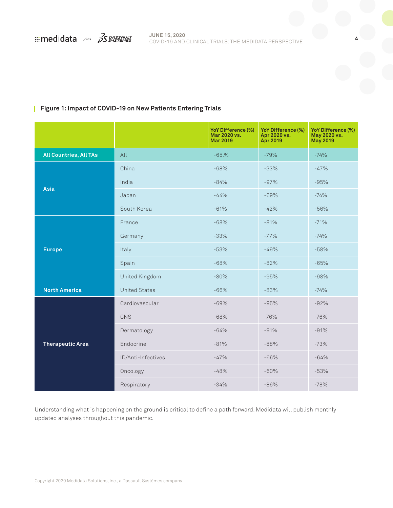### **Figure 1: Impact of COVID-19 on New Patients Entering Trials**

|                               |                      | YoY Difference (%)<br>Mar 2020 vs.<br><b>Mar 2019</b> | YoY Difference (%)<br>Apr 2020 vs.<br><b>Apr 2019</b> | YoY Difference (%)<br>May 2020 vs.<br><b>May 2019</b> |
|-------------------------------|----------------------|-------------------------------------------------------|-------------------------------------------------------|-------------------------------------------------------|
| <b>All Countries, All TAs</b> | All                  | $-65.%$                                               | $-79%$                                                | $-74%$                                                |
|                               | China                | $-68%$                                                | $-33%$                                                | $-47%$                                                |
|                               | India                | $-84%$                                                | $-97%$                                                | $-95%$                                                |
| <b>Asia</b>                   | Japan                | $-44%$                                                | $-69%$                                                | $-74%$                                                |
|                               | South Korea          | $-61%$                                                | $-42%$                                                | $-56%$                                                |
|                               | France               | $-68%$                                                | $-81%$                                                | $-71%$                                                |
|                               | Germany              | $-33%$                                                | $-77%$                                                | $-74%$                                                |
| <b>Europe</b>                 | Italy                | $-53%$                                                | $-49%$                                                | $-58%$                                                |
|                               | Spain                | $-68%$                                                | $-82%$                                                | $-65%$                                                |
|                               | United Kingdom       | $-80%$                                                | $-95%$                                                | $-98%$                                                |
| <b>North America</b>          | <b>United States</b> | $-66%$                                                | $-83%$                                                | $-74%$                                                |
| <b>Therapeutic Area</b>       | Cardiovascular       | $-69%$                                                | $-95%$                                                | $-92%$                                                |
|                               | CNS                  | $-68%$                                                | $-76%$                                                | $-76%$                                                |
|                               | Dermatology          | $-64%$                                                | $-91%$                                                | $-91%$                                                |
|                               | Endocrine            | $-81%$                                                | $-88%$                                                | $-73%$                                                |
|                               | ID/Anti-Infectives   | $-47%$                                                | $-66%$                                                | $-64%$                                                |
|                               | Oncology             | $-48%$                                                | $-60%$                                                | $-53%$                                                |
|                               | Respiratory          | $-34%$                                                | $-86%$                                                | $-78%$                                                |

Understanding what is happening on the ground is critical to define a path forward. Medidata will publish monthly updated analyses throughout this pandemic.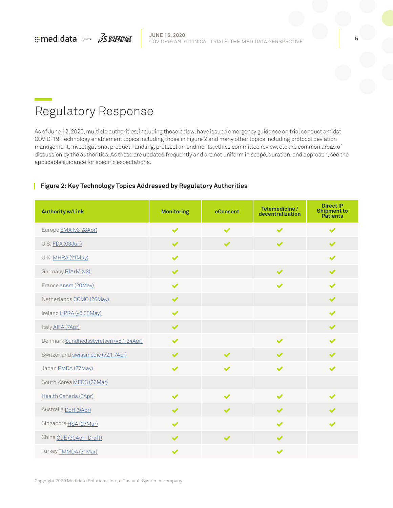<span id="page-4-0"></span>

## Regulatory Response

As of June 12, 2020, multiple authorities, including those below, have issued emergency guidance on trial conduct amidst COVID-19. Technology enablement topics including those in Figure 2 and many other topics including protocol deviation management, investigational product handling, protocol amendments, ethics committee review, etc are common areas of discussion by the authorities. As these are updated frequently and are not uniform in scope, duration, and approach, see the applicable guidance for specific expectations.

### **Figure 2: Key Technology Topics Addressed by Regulatory Authorities**

| <b>Authority w/Link</b>                | <b>Monitoring</b>     | eConsent              | Telemedicine/<br>decentralization | <b>Direct IP</b><br><b>Shipment to</b><br><b>Patients</b> |
|----------------------------------------|-----------------------|-----------------------|-----------------------------------|-----------------------------------------------------------|
| Europe EMA (v3 28Apr)                  | $\blacktriangleright$ | $\blacktriangleright$ | $\blacktriangleright$             | $\blacktriangleright$                                     |
| U.S. FDA (03Jun)                       | $\blacktriangledown$  | $\blacktriangleright$ | $\blacktriangleright$             | $\blacktriangleright$                                     |
| U.K. MHRA (21May)                      | $\blacktriangledown$  |                       |                                   | $\blacktriangleright$                                     |
| Germany <b>BfArM</b> (v3)              | $\blacktriangleright$ |                       | $\blacktriangleright$             | $\blacktriangleright$                                     |
| France ansm (20May)                    | $\blacktriangleright$ |                       | $\blacktriangleright$             | ✔                                                         |
| Netherlands CCMO (26May)               | $\blacktriangledown$  |                       |                                   | $\blacktriangledown$                                      |
| Ireland HPRA (v6 28May)                | $\blacktriangleright$ |                       |                                   | $\blacktriangledown$                                      |
| Italy AIFA (7Apr)                      | $\blacktriangleright$ |                       |                                   | $\blacktriangleright$                                     |
| Denmark Sundhedsstyrelsen (v5.1 24Apr) | $\blacktriangleright$ |                       | $\overline{\mathscr{L}}$          | ✔                                                         |
| Switzerland swissmedic (v2.1 7Apr)     | $\blacktriangledown$  | $\blacktriangleright$ | $\blacktriangledown$              | ✔                                                         |
| Japan PMDA (27May)                     | $\blacktriangledown$  | ✔                     | $\blacktriangleright$             | ✔                                                         |
| South Korea MFDS (26Mar)               |                       |                       |                                   |                                                           |
| Health Canada (3Apr)                   | $\blacktriangleright$ | ✔                     | ✔                                 |                                                           |
| Australia DoH (9Apr)                   | $\blacktriangledown$  | $\blacktriangledown$  | $\blacktriangledown$              |                                                           |
| Singapore <b>HSA</b> (27Mar)           | $\blacktriangledown$  |                       | $\blacktriangledown$              | ✔                                                         |
| China CDE (30Apr-Draft)                | $\blacktriangledown$  | $\blacktriangledown$  | $\blacktriangledown$              |                                                           |
| Turkey <b>TMMDA</b> (31Mar)            | $\blacktriangledown$  |                       | $\blacktriangledown$              |                                                           |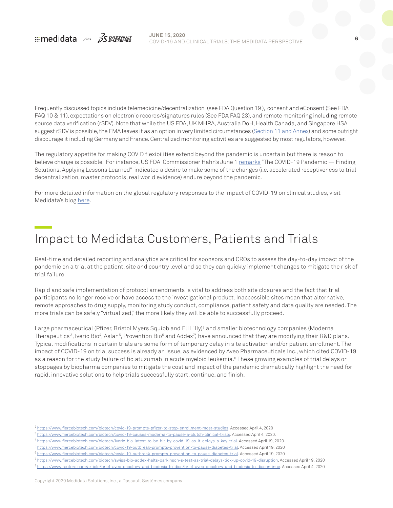<span id="page-5-0"></span>

Frequently discussed topics include telemedicine/decentralization (see FDA Question 19 ), consent and eConsent (See FDA FAQ 10 & 11), expectations on electronic records/signatures rules (See FDA FAQ 23), and remote monitoring including remote source data verification (rSDV). Note that while the US FDA, UK MHRA, Australia DoH, Health Canada, and Singapore HSA suggest rSDV is possible, the EMA leaves it as an option in very limited circumstances [\(Section 11 and Annex\)](https://ec.europa.eu/health/sites/health/files/files/eudralex/vol-10/guidanceclinicaltrials_covid19_en.pdf) and some outright discourage it including Germany and France. Centralized monitoring activities are suggested by most regulators, however.

The regulatory appetite for making COVID flexibilities extend beyond the pandemic is uncertain but there is reason to believe change is possible. For instance, US FDA Commissioner Hahn's June 1 [remarks](https://www.fda.gov/news-events/speeches-fda-officials/remarks-commissioner-stephen-hahn-md-covid-19-pandemic-finding-solutions-applying-lessons-learned) "The COVID-19 Pandemic - Finding Solutions, Applying Lessons Learned" indicated a desire to make some of the changes (i.e. accelerated receptiveness to trial decentralization, master protocols, real world evidence) endure beyond the pandemic.

For more detailed information on the global regulatory responses to the impact of COVID-19 on clinical studies, visit Medidata's blog [here.](https://www.medidata.com/en/blog/covid-19-regulatory-developments-and-technology-use-in-clinical-trials/)

## Impact to Medidata Customers, Patients and Trials

Real-time and detailed reporting and analytics are critical for sponsors and CROs to assess the day-to-day impact of the pandemic on a trial at the patient, site and country level and so they can quickly implement changes to mitigate the risk of trial failure.

Rapid and safe implementation of protocol amendments is vital to address both site closures and the fact that trial participants no longer receive or have access to the investigational product. Inaccessible sites mean that alternative, remote approaches to drug supply, monitoring study conduct, compliance, patient safety and data quality are needed. The more trials can be safely "virtualized," the more likely they will be able to successfully proceed.

Large pharmaceutical (Pfizer, Bristol Myers Squibb and Eli Lilly)<sup>2</sup> and smaller biotechnology companies (Moderna Therapeutics<sup>3</sup>, Iveric Bio<sup>4</sup>, Aslan<sup>5</sup>, Provention Bio<sup>6</sup> and Addex<sup>7</sup>) have announced that they are modifying their R&D plans. Typical modifications in certain trials are some form of temporary delay in site activation and/or patient enrollment. The impact of COVID-19 on trial success is already an issue, as evidenced by Aveo Pharmaceuticals Inc., which cited COVID-19 as a reason for the study failure of ficlatuzumab in acute myeloid leukemia.<sup>8</sup> These growing examples of trial delays or stoppages by biopharma companies to mitigate the cost and impact of the pandemic dramatically highlight the need for rapid, innovative solutions to help trials successfully start, continue, and finish.

<sup>2</sup> [https://www.fiercebiotech.com/biotech/covid-19-prompts-pfizer-to-stop-enrollment-most-studies.](https://www.fiercebiotech.com/biotech/covid-19-prompts-pfizer-to-stop-enrollment-most-studies) Accessed April 4, 2020

<sup>3</sup> [https://www.fiercebiotech.com/biotech/covid-19-causes-moderna-to-pause-a-clutch-clinical-trials.](https://www.fiercebiotech.com/biotech/covid-19-causes-moderna-to-pause-a-clutch-clinical-trials) Accessed April 4, 2020.

<sup>4</sup> <https://www.fiercebiotech.com/biotech/iveric-bio-latest-to-be-hit-by-covid-19-as-it-delays-a-key-trial>. Accessed April 19, 2020

<sup>5</sup> [https://www.fiercebiotech.com/biotech/covid-19-outbreak-prompts-provention-to-pause-diabetes-trial.](https://www.fiercebiotech.com/biotech/aslan-s-dupixent-rival-test-put-hold-amid-covid-19-but-delays-shouldn-t-hit-readout) Accessed April 19, 2020

<sup>6</sup> [https://www.fiercebiotech.com/biotech/covid-19-outbreak-prompts-provention-to-pause-diabetes-trial.](https://www.fiercebiotech.com/biotech/covid-19-outbreak-prompts-provention-to-pause-diabetes-trial) Accessed April 19, 2020

<sup>7</sup> <https://www.fiercebiotech.com/biotech/swiss-bio-addex-halts-parkinson-s-test-as-trial-delays-tick-up-covid-19-disruption>. Accessed April 19, 2020

<sup>8</sup> [https://www.reuters.com/article/brief-aveo-oncology-and-biodesix-to-disc/brief-aveo-oncology-and-biodesix-to-discontinue.](https://www.reuters.com/article/brief-aveo-oncology-and-biodesix-to-disc/brief-aveo-oncology-and-biodesix-to-discontinue-cyfi-2-study-of-ficlatuzumab-idUSFWN2BK1LR) Accessed April 4, 2020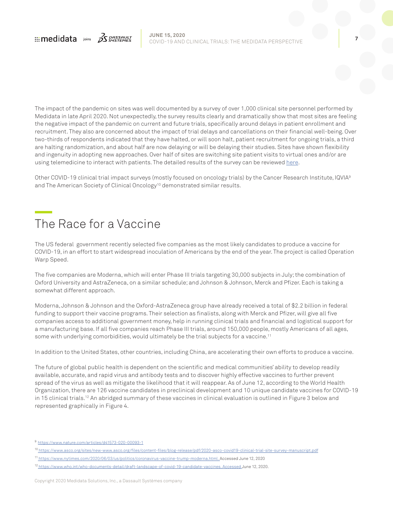<span id="page-6-0"></span>

The impact of the pandemic on sites was well documented by a survey of over 1,000 clinical site personnel performed by Medidata in late April 2020. Not unexpectedly, the survey results clearly and dramatically show that most sites are feeling the negative impact of the pandemic on current and future trials, specifically around delays in patient enrollment and recruitment. They also are concerned about the impact of trial delays and cancellations on their financial well-being. Over two-thirds of respondents indicated that they have halted, or will soon halt, patient recruitment for ongoing trials, a third are halting randomization, and about half are now delaying or will be delaying their studies. Sites have shown flexibility and ingenuity in adopting new approaches. Over half of sites are switching site patient visits to virtual ones and/or are using telemedicine to interact with patients. The detailed results of the survey can be reviewed [here.](https://www.medidata.com/wp-content/uploads/2020/05/COVID19-Site-Survey_20200518_v1.pdf)

Other COVID-19 clinical trial impact surveys (mostly focused on oncology trials) by the Cancer Research Institute, IQVIA9 and The American Society of Clinical Oncology<sup>10</sup> demonstrated similar results.

## The Race for a Vaccine

The US federal government recently selected five companies as the most likely candidates to produce a vaccine for COVID-19, in an effort to start widespread inoculation of Americans by the end of the year. The project is called Operation Warp Speed.

The five companies are Moderna, which will enter Phase III trials targeting 30,000 subjects in July; the combination of Oxford University and AstraZeneca, on a similar schedule; and Johnson & Johnson, Merck and Pfizer. Each is taking a somewhat different approach.

Moderna, Johnson & Johnson and the Oxford-AstraZeneca group have already received a total of \$2.2 billion in federal funding to support their vaccine programs. Their selection as finalists, along with Merck and Pfizer, will give all five companies access to additional government money, help in running clinical trials and financial and logistical support for a manufacturing base. If all five companies reach Phase III trials, around 150,000 people, mostly Americans of all ages, some with underlying comorbidities, would ultimately be the trial subjects for a vaccine.<sup>11</sup>

In addition to the United States, other countries, including China, are accelerating their own efforts to produce a vaccine.

The future of global public health is dependent on the scientific and medical communities' ability to develop readily available, accurate, and rapid virus and antibody tests and to discover highly effective vaccines to further prevent spread of the virus as well as mitigate the likelihood that it will reappear. As of June 12, according to the World Health Organization, there are 126 vaccine candidates in preclinical development and 10 unique candidate vaccines for COVID-19 in 15 clinical trials.<sup>12</sup> An abridged summary of these vaccines in clinical evaluation is outlined in Figure 3 below and represented graphically in Figure 4.

<sup>9</sup> https://www.nature.com/articles/d41573-020-00093-1

<sup>&</sup>lt;sup>10</sup> https://www.asco.org/sites/new-www.asco.org/files/content-files/blog-release/pdf/2020-asco-covid19-clinical-trial-site-survey-manuscript.pdf

<sup>11</sup> https://www.nytimes.com/2020/06/03/us/politics/coronavirus-vaccine-trump-moderna.html. Accessed June 12, 2020

<sup>12</sup> https://www.who.int/who-documents-detail/draft-landscape-of-covid-19-candidate-vaccines. Accessed June 12, 2020.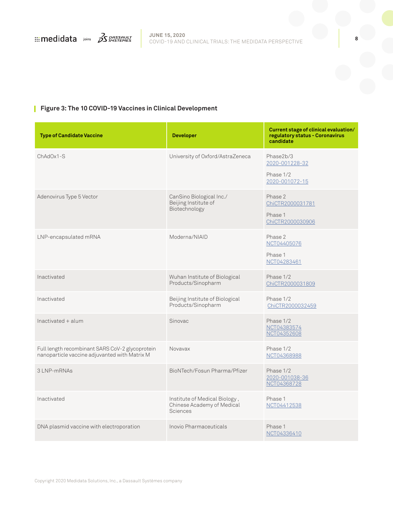

### **Figure 3: The 10 COVID-19 Vaccines in Clinical Development**

| <b>Type of Candidate Vaccine</b>                                                                 | <b>Developer</b>                                                               | Current stage of clinical evaluation/<br>regulatory status - Coronavirus<br>candidate |
|--------------------------------------------------------------------------------------------------|--------------------------------------------------------------------------------|---------------------------------------------------------------------------------------|
| $ChAdOx1-S$                                                                                      | University of Oxford/AstraZeneca                                               | Phase2b/3<br>2020-001228-32<br>Phase 1/2<br>2020-001072-15                            |
| Adenovirus Type 5 Vector                                                                         | CanSino Biological Inc./<br>Beijing Institute of<br>Biotechnology              | Phase 2<br>ChiCTR2000031781<br>Phase 1<br>ChiCTR2000030906                            |
| LNP-encapsulated mRNA                                                                            | Moderna/NIAID                                                                  | Phase 2<br>NCT04405076<br>Phase 1<br>NCT04283461                                      |
| Inactivated                                                                                      | Wuhan Institute of Biological<br>Products/Sinopharm                            | Phase 1/2<br>ChiCTR2000031809                                                         |
| Inactivated                                                                                      | Beijing Institute of Biological<br>Products/Sinopharm                          | Phase 1/2<br>ChiCTR2000032459                                                         |
| Inactivated + alum                                                                               | Sinovac                                                                        | Phase 1/2<br>NCT04383574<br>NCT04352608                                               |
| Full length recombinant SARS CoV-2 glycoprotein<br>nanoparticle vaccine adjuvanted with Matrix M | Novavax                                                                        | Phase 1/2<br>NCT04368988                                                              |
| 3 LNP-mRNAs                                                                                      | BioNTech/Fosun Pharma/Pfizer                                                   | Phase 1/2<br>2020-001038-36<br>NCT04368728                                            |
| Inactivated                                                                                      | Institute of Medical Biology,<br>Chinese Academy of Medical<br><b>Sciences</b> | Phase 1<br>NCT04412538                                                                |
| DNA plasmid vaccine with electroporation                                                         | Inovio Pharmaceuticals                                                         | Phase 1<br>NCT04336410                                                                |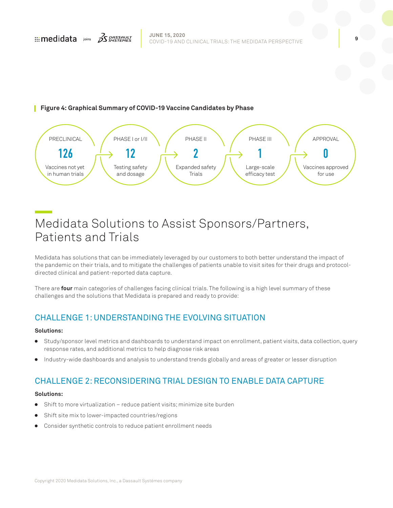### <span id="page-8-0"></span>**Figure 4: Graphical Summary of COVID-19 Vaccine Candidates by Phase**



## Medidata Solutions to Assist Sponsors/Partners, Patients and Trials

Medidata has solutions that can be immediately leveraged by our customers to both better understand the impact of the pandemic on their trials, and to mitigate the challenges of patients unable to visit sites for their drugs and protocoldirected clinical and patient-reported data capture.

There are **four** main categories of challenges facing clinical trials. The following is a high level summary of these challenges and the solutions that Medidata is prepared and ready to provide:

### CHALLENGE 1: UNDERSTANDING THE EVOLVING SITUATION

### **Solutions:**

- Study/sponsor level metrics and dashboards to understand impact on enrollment, patient visits, data collection, query response rates, and additional metrics to help diagnose risk areas
- <sup>ā</sup> Industry-wide dashboards and analysis to understand trends globally and areas of greater or lesser disruption

### CHALLENGE 2: RECONSIDERING TRIAL DESIGN TO ENABLE DATA CAPTURE

### **Solutions:**

- <sup>ā</sup> Shift to more virtualization reduce patient visits; minimize site burden
- Shift site mix to lower-impacted countries/regions
- Consider synthetic controls to reduce patient enrollment needs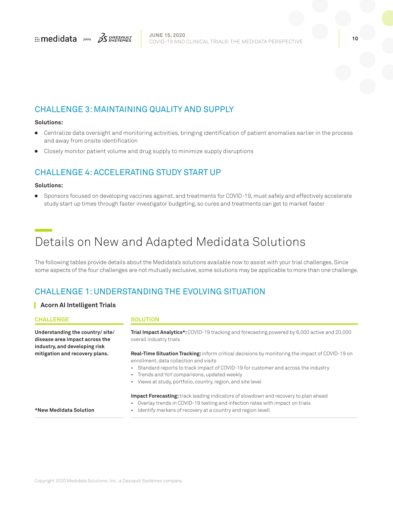<span id="page-9-0"></span>

### CHALLENGE 3: MAINTAINING QUALITY AND SUPPLY

### **Solutions:**

- <sup>ā</sup> Centralize data oversight and monitoring activities, bringing identification of patient anomalies earlier in the process and away from onsite identification
- <sup>ā</sup> Closely monitor patient volume and drug supply to minimize supply disruptions

### CHALLENGE 4: ACCELERATING STUDY START UP

### **Solutions:**

<sup>ā</sup> Sponsors focused on developing vaccines against, and treatments for COVID-19, must safely and effectively accelerate study start up times through faster investigator budgeting, so cures and treatments can get to market faster

## Details on New and Adapted Medidata Solutions

The following tables provide details about the Medidata's solutions available now to assist with your trial challenges. Since some aspects of the four challenges are not mutually exclusive, some solutions may be applicable to more than one challenge.

### CHALLENGE 1: UNDERSTANDING THE EVOLVING SITUATION

### **Acorn AI Intelligent Trials**

### **CHALLENGE SOLUTION Understanding the country/ site/ disease area impact across the industry, and developing risk mitigation and recovery plans. \*New Medidata Solution Trial Impact Analytics\*:** COVID-19 tracking and forecasting powered by 6,000 active and 20,000 overall industry trials **Real-Time Situation Tracking:** inform critical decisions by monitoring the impact of COVID-19 on enrollment, data collection and visits • Standard reports to track impact of COVID-19 for customer and across the industry • Trends and YoY comparisons, updated weekly • Views at study, portfolio, country, region, and site level **Impact Forecasting:** track leading indicators of slowdown and recovery to plan ahead • Overlay trends in COVID-19 testing and infection rates with impact on trials • Identify markers of recovery at a country and region levell

Copyright 2020 Medidata Solutions, Inc., a Dassault Systèmes company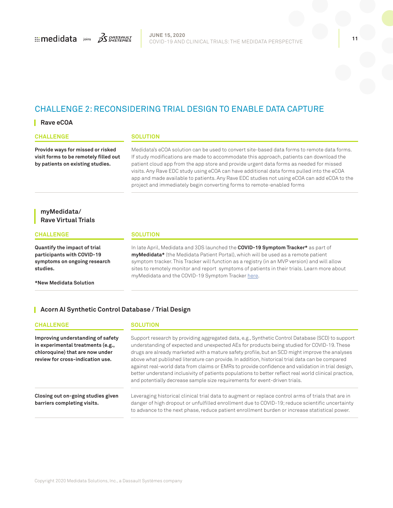

### CHALLENGE 2: RECONSIDERING TRIAL DESIGN TO ENABLE DATA CAPTURE

### **Rave eCOA**

### **CHALLENGE SOLUTION Provide ways for missed or risked visit forms to be remotely filled out by patients on existing studies.** Medidata's eCOA solution can be used to convert site-based data forms to remote data forms. If study modifications are made to accommodate this approach, patients can download the patient cloud app from the app store and provide urgent data forms as needed for missed visits. Any Rave EDC study using eCOA can have additional data forms pulled into the eCOA app and made available to patients. Any Rave EDC studies not using eCOA can add eCOA to the project and immediately begin converting forms to remote-enabled forms **myMedidata/ Rave Virtual Trials CHALLENGE SOLUTION Quantify the impact of trial participants with COVID-19**  In late April, Medidata and 3DS launched the **COVID-19 Symptom Tracker\*** as part of **myMedidata\*** (the Medidata Patient Portal), which will be used as a remote patient

**symptoms on ongoing research studies.**

**\*New Medidata Solution** 

symptom tracker. This Tracker will function as a registry (in an MVP version) and will allow sites to remotely monitor and report symptoms of patients in their trials. Learn more about myMedidata and the COVID-19 Symptom Tracker [here](https://www.medidata.com/wp-content/uploads/2020/04/myMedidata_COVID19-Symptom-Tracker_20200422_Fact-Sheet-4.pdf).

### **Acorn AI Synthetic Control Database / Trial Design**

### **CHALLENGE SOLUTION**

**Improving understanding of safety in experimental treatments (e.g., chloroquine) that are now under review for cross-indication use.**

Support research by providing aggregated data, e.g., Synthetic Control Database (SCD) to support understanding of expected and unexpected AEs for products being studied for COVID-19. These drugs are already marketed with a mature safety profile, but an SCD might improve the analyses above what published literature can provide. In addition, historical trial data can be compared against real-world data from claims or EMRs to provide confidence and validation in trial design, better understand inclusivity of patients populations to better reflect real world clinical practice, and potentially decrease sample size requirements for event-driven trials.

**Closing out on-going studies given barriers completing visits.**

Leveraging historical clinical trial data to augment or replace control arms of trials that are in danger of high dropout or unfulfilled enrollment due to COVID-19; reduce scientific uncertainty to advance to the next phase, reduce patient enrollment burden or increase statistical power.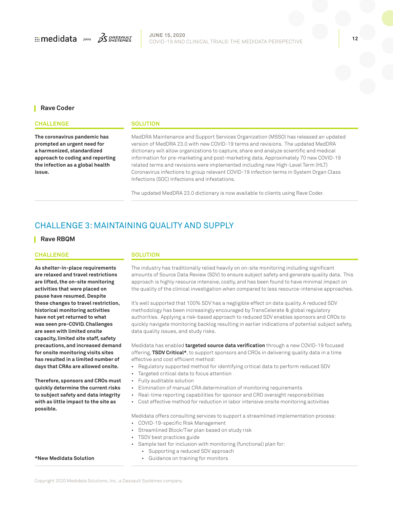

### **Rave Coder**

### **CHALLENGE SOLUTION**

**The coronavirus pandemic has prompted an urgent need for a harmonized, standardized approach to coding and reporting the infection as a global health issue.**

MedDRA Maintenance and Support Services Organization (MSSO) has released an updated version of MedDRA 23.0 with new COVID-19 terms and revisions. The updated MedDRA dictionary will allow organizations to capture, share and analyze scientific and medical information for pre-marketing and post-marketing data. Approximately 70 new COVID-19 related terms and revisions were implemented including new High-Level Term (HLT) Coronavirus infections to group relevant COVID-19 infection terms in System Organ Class Infections (SOC) Infections and infestations.

The updated MedDRA 23.0 dictionary is now available to clients using Rave Coder.

### CHALLENGE 3: MAINTAINING QUALITY AND SUPPLY

### **Rave RBQM**

### **CHALLENGE SOLUTION**

**As shelter-in-place requirements are relaxed and travel restrictions are lifted, the on-site monitoring activities that were placed on pause have resumed. Despite these changes to travel restriction, historical monitoring activities have not yet returned to what was seen pre-COVID. Challenges are seen with limited onsite capacity, limited site staff, safety precautions, and increased demand for onsite monitoring visits sites has resulted in a limited number of days that CRAs are allowed onsite.**

**Therefore, sponsors and CROs must quickly determine the current risks to subject safety and data integrity with as little impact to the site as possible.** 

### **\*New Medidata Solution**

The industry has traditionally relied heavily on on-site monitoring including significant amounts of Source Data Review (SDV) to ensure subject safety and generate quality data. This approach is highly resource intensive, costly, and has been found to have minimal impact on the quality of the clinical investigation when compared to less resource-intensive approaches.

It's well supported that 100% SDV has a negligible effect on data quality. A reduced SDV methodology has been increasingly encouraged by TransCelerate & global regulatory authorities. Applying a risk-based approach to reduced SDV enables sponsors and CROs to quickly navigate monitoring backlog resulting in earlier indications of potential subject safety, data quality issues, and study risks.

Medidata has enabled **targeted source data verification** through a new COVID-19 focused offering, **TSDV Critical\***, to support sponsors and CROs in delivering quality data in a time effective and cost efficient method:

- Regulatory supported method for identifying critical data to perform reduced SDV
- Targeted critical data to focus attention
- Fully auditable solution
- Elimination of manual CRA determination of monitoring requirements
- Real-time reporting capabilities for sponsor and CRO oversight responsibilities
- Cost effective method for reduction in labor intensive onsite monitoring activities

Medidata offers consulting services to support a streamlined implementation process:

- COVID-19-specific Risk Management
- Streamlined Block/Tier plan based on study risk
- TSDV best practices guide
- Sample text for inclusion with monitoring (functional) plan for:
	- Supporting a reduced SDV approach
	- Guidance on training for monitors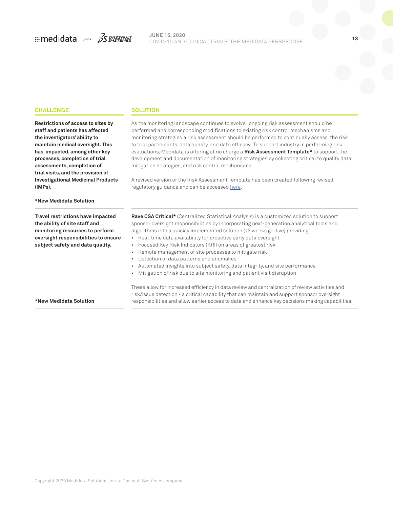

### **CHALLENGE SOLUTION**

**Restrictions of access to sites by staff and patients has affected the investigators' ability to maintain medical oversight. This has impacted, among other key processes, completion of trial assessments, completion of trial visits, and the provision of Investigational Medicinal Products (IMPs).**

As the monitoring landscape continues to evolve, ongoing risk assessment should be performed and corresponding modifications to existing risk control mechanisms and monitoring strategies a risk assessment should be performed to continually assess the risk to trial participants, data quality, and data efficacy. To support industry in performing risk evaluations, Medidata is offering at no charge a **Risk Assessment Template\*** to support the development and documentation of monitoring strategies by collecting critical to quality data, mitigation strategies, and risk control mechanisms.

A revised version of the Risk Assessment Template has been created following revised regulatory guidance and can be accessed [here](https://www.medidata.com/en/riskassessment).

### **\*New Medidata Solution**

**Travel restrictions have impacted the ability of site staff and monitoring resources to perform oversight responsibilities to ensure subject safety and data quality.**

**Rave CSA Critical\*** (Centralized Statistical Analysis) is a customized solution to support sponsor oversight responsibilities by incorporating next-generation analytical tools and algorithms into a quickly implemented solution (<2 weeks go-live) providing:

- Real-time data availability for proactive early data oversight
- Focused Key Risk Indicators (KRI) on areas of greatest risk
- Remote management of site processes to mitigate risk
- Detection of data patterns and anomalies
- Automated insights into subject safety, data integrity, and site performance
- Mitigation of risk due to site monitoring and patient visit disruption

**\*New Medidata Solution**

These allow for increased efficiency in data review and centralization of review activities and risk/issue detection - a critical capability that can maintain and support sponsor oversight responsibilities and allow earlier access to data and enhance key decisions making capabilities.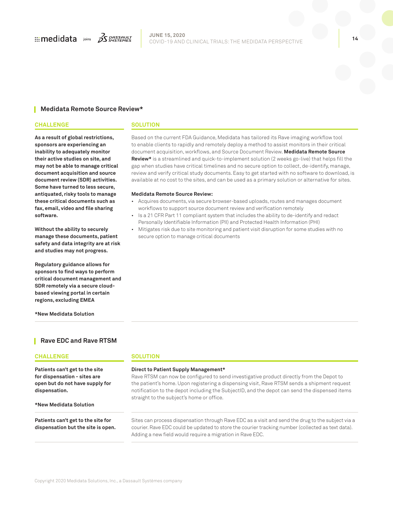

### **JUNE 15, 2020** COVID-19 AND CLINICAL TRIALS: THE MEDIDATA PERSPECTIVE **<sup>14</sup>**

### **Medidata Remote Source Review\***

### **CHALLENGE SOLUTION**

**As a result of global restrictions, sponsors are experiencing an inability to adequately monitor their active studies on site, and may not be able to manage critical document acquisition and source document review (SDR) activities. Some have turned to less secure, antiquated, risky tools to manage these critical documents such as fax, email, video and file sharing software.**

**Without the ability to securely manage these documents, patient safety and data integrity are at risk and studies may not progress.**

**Regulatory guidance allows for sponsors to find ways to perform critical document management and SDR remotely via a secure cloudbased viewing portal in certain regions, excluding EMEA**

**\*New Medidata Solution**

### **Rave EDC and Rave RTSM**

### **CHALLENGE SOLUTION Patients can't get to the site for dispensation - sites are open but do not have supply for dispensation. \*New Medidata Solution Direct to Patient Supply Management\*** Rave RTSM can now be configured to send investigative product directly from the Depot to the patient's home. Upon registering a dispensing visit, Rave RTSM sends a shipment request notification to the depot including the SubjectID, and the depot can send the dispensed items straight to the subject's home or office. **Patients can't get to the site for dispensation but the site is open.** Sites can process dispensation through Rave EDC as a visit and send the drug to the subject via a courier. Rave EDC could be updated to store the courier tracking number (collected as text data). Adding a new field would require a migration in Rave EDC.

Based on the current FDA Guidance, Medidata has tailored its Rave imaging workflow tool to enable clients to rapidly and remotely deploy a method to assist monitors in their critical document acquisition, workflows, and Source Document Review. **Medidata Remote Source Review\*** is a streamlined and quick-to-implement solution (2 weeks go-live) that helps fill the gap when studies have critical timelines and no secure option to collect, de-identify, manage, review and verify critical study documents. Easy to get started with no software to download, is available at no cost to the sites, and can be used as a primary solution or alternative for sites.

### **Medidata Remote Source Review:**

- Acquires documents, via secure browser-based uploads, routes and manages document workflows to support source document review and verification remotely
- Is a 21 CFR Part 11 compliant system that includes the ability to de-identify and redact Personally Identifiable Information (PII) and Protected Health Information (PHI)
- Mitigates risk due to site monitoring and patient visit disruption for some studies with no secure option to manage critical documents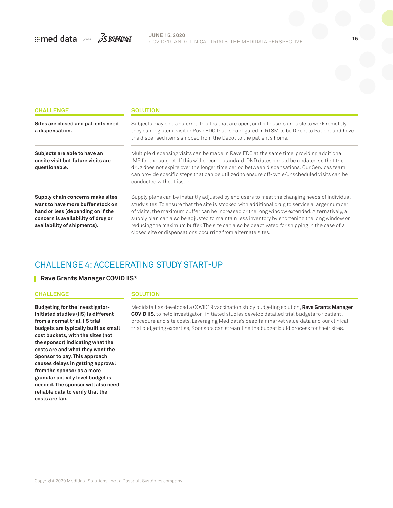

| <b>CHALLENGE</b>                                                                                                                                                                | <b>SOLUTION</b>                                                                                                                                                                                                                                                                                                                                                                                                                                                                                                                                                |  |  |
|---------------------------------------------------------------------------------------------------------------------------------------------------------------------------------|----------------------------------------------------------------------------------------------------------------------------------------------------------------------------------------------------------------------------------------------------------------------------------------------------------------------------------------------------------------------------------------------------------------------------------------------------------------------------------------------------------------------------------------------------------------|--|--|
| Sites are closed and patients need<br>a dispensation.                                                                                                                           | Subjects may be transferred to sites that are open, or if site users are able to work remotely<br>they can register a visit in Rave EDC that is configured in RTSM to be Direct to Patient and have<br>the dispensed items shipped from the Depot to the patient's home.                                                                                                                                                                                                                                                                                       |  |  |
| Subjects are able to have an<br>onsite visit but future visits are<br>questionable.                                                                                             | Multiple dispensing visits can be made in Rave EDC at the same time, providing additional<br>IMP for the subject. If this will become standard, DND dates should be updated so that the<br>drug does not expire over the longer time period between dispensations. Our Services team<br>can provide specific steps that can be utilized to ensure off-cycle/unscheduled visits can be<br>conducted without issue.                                                                                                                                              |  |  |
| Supply chain concerns make sites<br>want to have more buffer stock on<br>hand or less (depending on if the<br>concern is availability of drug or<br>availability of shipments). | Supply plans can be instantly adjusted by end users to meet the changing needs of individual<br>study sites. To ensure that the site is stocked with additional drug to service a larger number<br>of visits, the maximum buffer can be increased or the long window extended. Alternatively, a<br>supply plan can also be adjusted to maintain less inventory by shortening the long window or<br>reducing the maximum buffer. The site can also be deactivated for shipping in the case of a<br>closed site or dispensations occurring from alternate sites. |  |  |

### CHALLENGE 4: ACCELERATING STUDY START-UP

### **Rave Grants Manager COVID IIS\***

### **CHALLENGE SOLUTION**

**Budgeting for the investigatorinitiated studies (IIS) is different from a normal trial. IIS trial budgets are typically built as small cost buckets, with the sites (not the sponsor) indicating what the costs are and what they want the Sponsor to pay. This approach causes delays in getting approval from the sponsor as a more granular activity level budget is needed. The sponsor will also need reliable data to verify that the costs are fair.**

Medidata has developed a COVID19 vaccination study budgeting solution, **Rave Grants Manager COVID IIS**, to help investigator- initiated studies develop detailed trial budgets for patient, procedure and site costs. Leveraging Medidata's deep fair market value data and our clinical trial budgeting expertise, Sponsors can streamline the budget build process for their sites.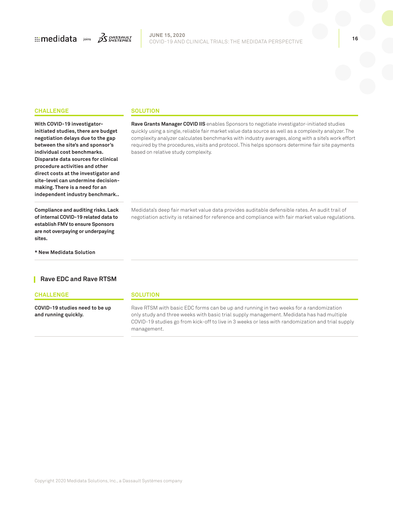

### **CHALLENGE SOLUTION**

**With COVID-19 investigatorinitiated studies, there are budget negotiation delays due to the gap between the site's and sponsor's independent industry benchmark..**

**Compliance and auditing risks. Lack of internal COVID-19 related data to establish FMV to ensure Sponsors are not overpaying or underpaying sites.**

**\* New Medidata Solution**

**individual cost benchmarks. Disparate data sources for clinical procedure activities and other direct costs at the investigator and site-level can undermine decisionmaking. There is a need for an**  required by the procedures, visits and protocol. This helps sponsors determine fair site payments based on relative study complexity.

> Medidata's deep fair market value data provides auditable defensible rates. An audit trail of negotiation activity is retained for reference and compliance with fair market value regulations.

> **Rave Grants Manager COVID IIS** enables Sponsors to negotiate investigator-initiated studies quickly using a single, reliable fair market value data source as well as a complexity analyzer. The complexity analyzer calculates benchmarks with industry averages, along with a site's work effort

### **Rave EDC and Rave RTSM**

### **CHALLENGE SOLUTION**

**COVID-19 studies need to be up and running quickly.**

Rave RTSM with basic EDC forms can be up and running in two weeks for a randomization only study and three weeks with basic trial supply management. Medidata has had multiple COVID-19 studies go from kick-off to live in 3 weeks or less with randomization and trial supply management.